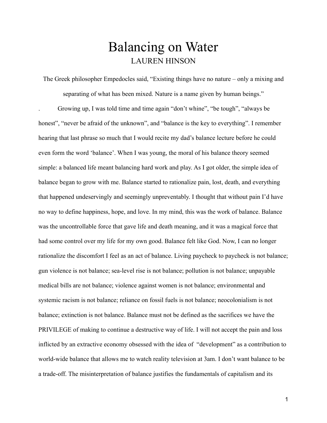## Balancing on Water LAUREN HINSON

The Greek philosopher Empedocles said, "Existing things have no nature – only a mixing and separating of what has been mixed. Nature is a name given by human beings."

. Growing up, I was told time and time again "don't whine", "be tough", "always be honest", "never be afraid of the unknown", and "balance is the key to everything". I remember hearing that last phrase so much that I would recite my dad's balance lecture before he could even form the word 'balance'. When I was young, the moral of his balance theory seemed simple: a balanced life meant balancing hard work and play. As I got older, the simple idea of balance began to grow with me. Balance started to rationalize pain, lost, death, and everything that happened undeservingly and seemingly unpreventably. I thought that without pain I'd have no way to define happiness, hope, and love. In my mind, this was the work of balance. Balance was the uncontrollable force that gave life and death meaning, and it was a magical force that had some control over my life for my own good. Balance felt like God. Now, I can no longer rationalize the discomfort I feel as an act of balance. Living paycheck to paycheck is not balance; gun violence is not balance; sea-level rise is not balance; pollution is not balance; unpayable medical bills are not balance; violence against women is not balance; environmental and systemic racism is not balance; reliance on fossil fuels is not balance; neocolonialism is not balance; extinction is not balance. Balance must not be defined as the sacrifices we have the PRIVILEGE of making to continue a destructive way of life. I will not accept the pain and loss inflicted by an extractive economy obsessed with the idea of "development" as a contribution to world-wide balance that allows me to watch reality television at 3am. I don't want balance to be a trade-off. The misinterpretation of balance justifies the fundamentals of capitalism and its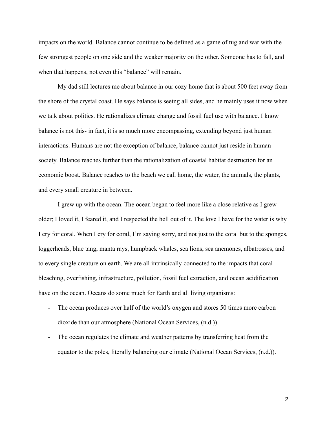impacts on the world. Balance cannot continue to be defined as a game of tug and war with the few strongest people on one side and the weaker majority on the other. Someone has to fall, and when that happens, not even this "balance" will remain.

My dad still lectures me about balance in our cozy home that is about 500 feet away from the shore of the crystal coast. He says balance is seeing all sides, and he mainly uses it now when we talk about politics. He rationalizes climate change and fossil fuel use with balance. I know balance is not this- in fact, it is so much more encompassing, extending beyond just human interactions. Humans are not the exception of balance, balance cannot just reside in human society. Balance reaches further than the rationalization of coastal habitat destruction for an economic boost. Balance reaches to the beach we call home, the water, the animals, the plants, and every small creature in between.

I grew up with the ocean. The ocean began to feel more like a close relative as I grew older; I loved it, I feared it, and I respected the hell out of it. The love I have for the water is why I cry for coral. When I cry for coral, I'm saying sorry, and not just to the coral but to the sponges, loggerheads, blue tang, manta rays, humpback whales, sea lions, sea anemones, albatrosses, and to every single creature on earth. We are all intrinsically connected to the impacts that coral bleaching, overfishing, infrastructure, pollution, fossil fuel extraction, and ocean acidification have on the ocean. Oceans do some much for Earth and all living organisms:

- The ocean produces over half of the world's oxygen and stores 50 times more carbon dioxide than our atmosphere (National Ocean Services, (n.d.)).
- The ocean regulates the climate and weather patterns by transferring heat from the equator to the poles, literally balancing our climate (National Ocean Services, (n.d.)).

2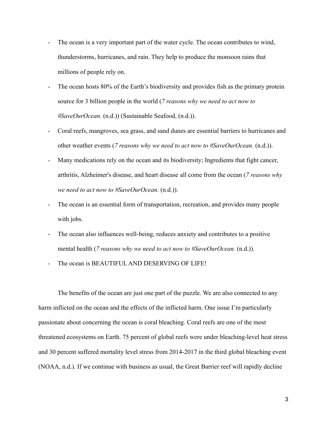- The ocean is a very important part of the water cycle. The ocean contributes to wind, thunderstorms, hurricanes, and rain. They help to produce the monsoon rains that millions of people rely on.
- The ocean hosts 80% of the Earth's biodiversity and provides fish as the primary protein source for 3 billion people in the world (*7 reasons why we need to act now to #SaveOurOcean.* (n.d.)) (Sustainable Seafood, (n.d.)).
- Coral reefs, mangroves, sea grass, and sand dunes are essential barriers to hurricanes and other weather events (*7 reasons why we need to act now to #SaveOurOcean.* (n.d.)).
- Many medications rely on the ocean and its biodiversity; Ingredients that fight cancer, arthritis, Alzheimer's disease, and heart disease all come from the ocean (*7 reasons why we need to act now to #SaveOurOcean.* (n.d.)).
- The ocean is an essential form of transportation, recreation, and provides many people with jobs.
- The ocean also influences well-being, reduces anxiety and contributes to a positive mental health (*7 reasons why we need to act now to #SaveOurOcean.* (n.d.)).
- The ocean is BEAUTIFUL AND DESERVING OF LIFE!

The benefits of the ocean are just one part of the puzzle. We are also connected to any harm inflicted on the ocean and the effects of the inflicted harm. One issue I'm particularly passionate about concerning the ocean is coral bleaching. Coral reefs are one of the most threatened ecosystems on Earth. 75 percent of global reefs were under bleaching-level heat stress and 30 percent suffered mortality level stress from 2014-2017 in the third global bleaching event (NOAA, n.d.). If we continue with business as usual, the Great Barrier reef will rapidly decline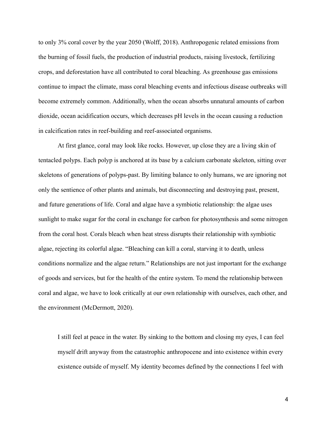to only 3% coral cover by the year 2050 (Wolff, 2018). Anthropogenic related emissions from the burning of fossil fuels, the production of industrial products, raising livestock, fertilizing crops, and deforestation have all contributed to coral bleaching. As greenhouse gas emissions continue to impact the climate, mass coral bleaching events and infectious disease outbreaks will become extremely common. Additionally, when the ocean absorbs unnatural amounts of carbon dioxide, ocean acidification occurs, which decreases pH levels in the ocean causing a reduction in calcification rates in reef-building and reef-associated organisms.

At first glance, coral may look like rocks. However, up close they are a living skin of tentacled polyps. Each polyp is anchored at its base by a calcium carbonate skeleton, sitting over skeletons of generations of polyps-past. By limiting balance to only humans, we are ignoring not only the sentience of other plants and animals, but disconnecting and destroying past, present, and future generations of life. Coral and algae have a symbiotic relationship: the algae uses sunlight to make sugar for the coral in exchange for carbon for photosynthesis and some nitrogen from the coral host. Corals bleach when heat stress disrupts their relationship with symbiotic algae, rejecting its colorful algae. "Bleaching can kill a coral, starving it to death, unless conditions normalize and the algae return." Relationships are not just important for the exchange of goods and services, but for the health of the entire system. To mend the relationship between coral and algae, we have to look critically at our own relationship with ourselves, each other, and the environment (McDermott, 2020).

I still feel at peace in the water. By sinking to the bottom and closing my eyes, I can feel myself drift anyway from the catastrophic anthropocene and into existence within every existence outside of myself. My identity becomes defined by the connections I feel with

4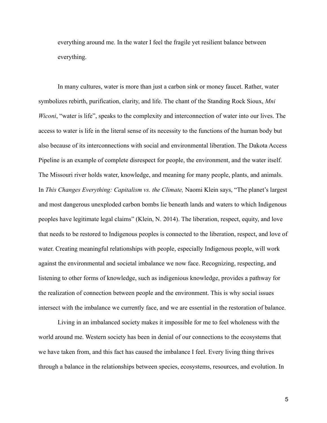everything around me. In the water I feel the fragile yet resilient balance between everything.

In many cultures, water is more than just a carbon sink or money faucet. Rather, water symbolizes rebirth, purification, clarity, and life. The chant of the Standing Rock Sioux, *Mni Wiconi*, "water is life", speaks to the complexity and interconnection of water into our lives. The access to water is life in the literal sense of its necessity to the functions of the human body but also because of its interconnections with social and environmental liberation. The Dakota Access Pipeline is an example of complete disrespect for people, the environment, and the water itself. The Missouri river holds water, knowledge, and meaning for many people, plants, and animals. In *This Changes Everything: Capitalism vs. the Climate,* Naomi Klein says, "The planet's largest and most dangerous unexploded carbon bombs lie beneath lands and waters to which Indigenous peoples have legitimate legal claims" (Klein, N. 2014). The liberation, respect, equity, and love that needs to be restored to Indigenous peoples is connected to the liberation, respect, and love of water. Creating meaningful relationships with people, especially Indigenous people, will work against the environmental and societal imbalance we now face. Recognizing, respecting, and listening to other forms of knowledge, such as indigenious knowledge, provides a pathway for the realization of connection between people and the environment. This is why social issues intersect with the imbalance we currently face, and we are essential in the restoration of balance.

Living in an imbalanced society makes it impossible for me to feel wholeness with the world around me. Western society has been in denial of our connections to the ecosystems that we have taken from, and this fact has caused the imbalance I feel. Every living thing thrives through a balance in the relationships between species, ecosystems, resources, and evolution. In

5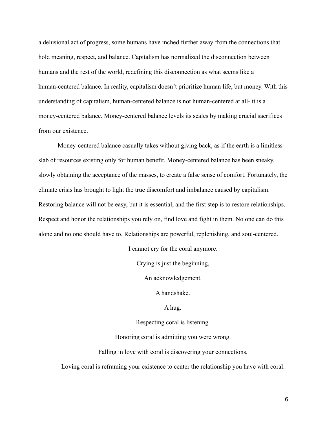a delusional act of progress, some humans have inched further away from the connections that hold meaning, respect, and balance. Capitalism has normalized the disconnection between humans and the rest of the world, redefining this disconnection as what seems like a human-centered balance. In reality, capitalism doesn't prioritize human life, but money. With this understanding of capitalism, human-centered balance is not human-centered at all- it is a money-centered balance. Money-centered balance levels its scales by making crucial sacrifices from our existence.

Money-centered balance casually takes without giving back, as if the earth is a limitless slab of resources existing only for human benefit. Money-centered balance has been sneaky, slowly obtaining the acceptance of the masses, to create a false sense of comfort. Fortunately, the climate crisis has brought to light the true discomfort and imbalance caused by capitalism. Restoring balance will not be easy, but it is essential, and the first step is to restore relationships. Respect and honor the relationships you rely on, find love and fight in them. No one can do this alone and no one should have to. Relationships are powerful, replenishing, and soul-centered.

I cannot cry for the coral anymore.

Crying is just the beginning,

An acknowledgement.

A handshake.

A hug.

Respecting coral is listening.

Honoring coral is admitting you were wrong.

Falling in love with coral is discovering your connections.

Loving coral is reframing your existence to center the relationship you have with coral.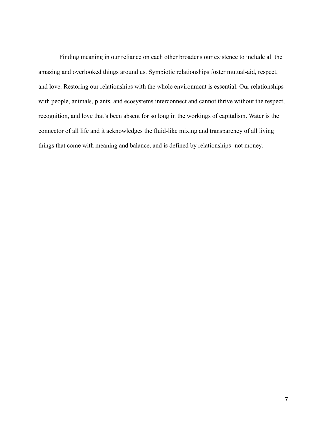Finding meaning in our reliance on each other broadens our existence to include all the amazing and overlooked things around us. Symbiotic relationships foster mutual-aid, respect, and love. Restoring our relationships with the whole environment is essential. Our relationships with people, animals, plants, and ecosystems interconnect and cannot thrive without the respect, recognition, and love that's been absent for so long in the workings of capitalism. Water is the connector of all life and it acknowledges the fluid-like mixing and transparency of all living things that come with meaning and balance, and is defined by relationships- not money.